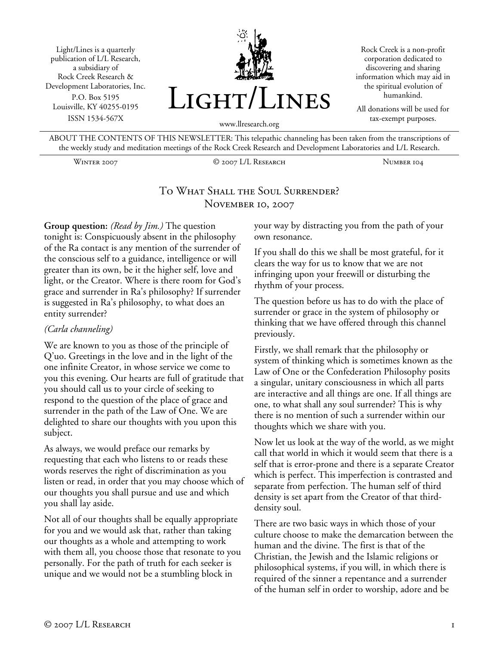Light/Lines is a quarterly publication of L/L Research, a subsidiary of Rock Creek Research & Development Laboratories, Inc. P.O. Box 5195 Louisville, KY 40255-0195 ISSN 1534-567X



Rock Creek is a non-profit corporation dedicated to discovering and sharing information which may aid in the spiritual evolution of humankind.

All donations will be used for tax-exempt purposes.

www.llresearch.org

ABOUT THE CONTENTS OF THIS NEWSLETTER: This telepathic channeling has been taken from the transcriptions of the weekly study and meditation meetings of the Rock Creek Research and Development Laboratories and L/L Research.

Winter 2007 © 2007 L/L Research Number 104

## To What Shall the Soul Surrender? NOVEMBER 10, 2007

**Group question:** *(Read by Jim.)* The question tonight is: Conspicuously absent in the philosophy of the Ra contact is any mention of the surrender of the conscious self to a guidance, intelligence or will greater than its own, be it the higher self, love and light, or the Creator. Where is there room for God's grace and surrender in Ra's philosophy? If surrender is suggested in Ra's philosophy, to what does an entity surrender?

#### *(Carla channeling)*

We are known to you as those of the principle of Q'uo. Greetings in the love and in the light of the one infinite Creator, in whose service we come to you this evening. Our hearts are full of gratitude that you should call us to your circle of seeking to respond to the question of the place of grace and surrender in the path of the Law of One. We are delighted to share our thoughts with you upon this subject.

As always, we would preface our remarks by requesting that each who listens to or reads these words reserves the right of discrimination as you listen or read, in order that you may choose which of our thoughts you shall pursue and use and which you shall lay aside.

Not all of our thoughts shall be equally appropriate for you and we would ask that, rather than taking our thoughts as a whole and attempting to work with them all, you choose those that resonate to you personally. For the path of truth for each seeker is unique and we would not be a stumbling block in

your way by distracting you from the path of your own resonance.

If you shall do this we shall be most grateful, for it clears the way for us to know that we are not infringing upon your freewill or disturbing the rhythm of your process.

The question before us has to do with the place of surrender or grace in the system of philosophy or thinking that we have offered through this channel previously.

Firstly, we shall remark that the philosophy or system of thinking which is sometimes known as the Law of One or the Confederation Philosophy posits a singular, unitary consciousness in which all parts are interactive and all things are one. If all things are one, to what shall any soul surrender? This is why there is no mention of such a surrender within our thoughts which we share with you.

Now let us look at the way of the world, as we might call that world in which it would seem that there is a self that is error-prone and there is a separate Creator which is perfect. This imperfection is contrasted and separate from perfection. The human self of third density is set apart from the Creator of that thirddensity soul.

There are two basic ways in which those of your culture choose to make the demarcation between the human and the divine. The first is that of the Christian, the Jewish and the Islamic religions or philosophical systems, if you will, in which there is required of the sinner a repentance and a surrender of the human self in order to worship, adore and be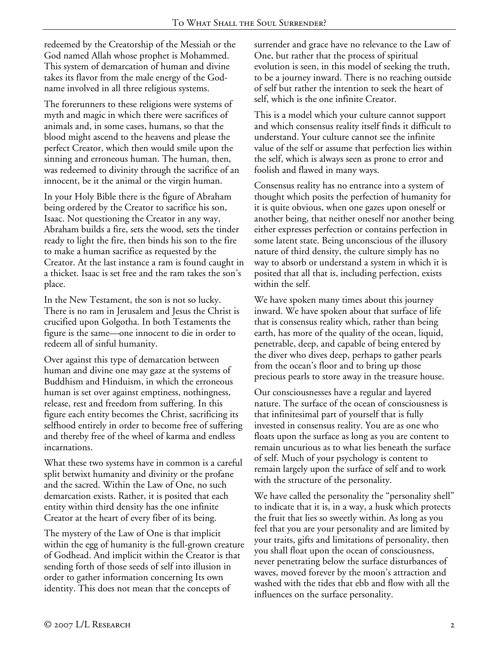redeemed by the Creatorship of the Messiah or the God named Allah whose prophet is Mohammed. This system of demarcation of human and divine takes its flavor from the male energy of the Godname involved in all three religious systems.

The forerunners to these religions were systems of myth and magic in which there were sacrifices of animals and, in some cases, humans, so that the blood might ascend to the heavens and please the perfect Creator, which then would smile upon the sinning and erroneous human. The human, then, was redeemed to divinity through the sacrifice of an innocent, be it the animal or the virgin human.

In your Holy Bible there is the figure of Abraham being ordered by the Creator to sacrifice his son, Isaac. Not questioning the Creator in any way, Abraham builds a fire, sets the wood, sets the tinder ready to light the fire, then binds his son to the fire to make a human sacrifice as requested by the Creator. At the last instance a ram is found caught in a thicket. Isaac is set free and the ram takes the son's place.

In the New Testament, the son is not so lucky. There is no ram in Jerusalem and Jesus the Christ is crucified upon Golgotha. In both Testaments the figure is the same—one innocent to die in order to redeem all of sinful humanity.

Over against this type of demarcation between human and divine one may gaze at the systems of Buddhism and Hinduism, in which the erroneous human is set over against emptiness, nothingness, release, rest and freedom from suffering. In this figure each entity becomes the Christ, sacrificing its selfhood entirely in order to become free of suffering and thereby free of the wheel of karma and endless incarnations.

What these two systems have in common is a careful split betwixt humanity and divinity or the profane and the sacred. Within the Law of One, no such demarcation exists. Rather, it is posited that each entity within third density has the one infinite Creator at the heart of every fiber of its being.

The mystery of the Law of One is that implicit within the egg of humanity is the full-grown creature of Godhead. And implicit within the Creator is that sending forth of those seeds of self into illusion in order to gather information concerning Its own identity. This does not mean that the concepts of

surrender and grace have no relevance to the Law of One, but rather that the process of spiritual evolution is seen, in this model of seeking the truth, to be a journey inward. There is no reaching outside of self but rather the intention to seek the heart of self, which is the one infinite Creator.

This is a model which your culture cannot support and which consensus reality itself finds it difficult to understand. Your culture cannot see the infinite value of the self or assume that perfection lies within the self, which is always seen as prone to error and foolish and flawed in many ways.

Consensus reality has no entrance into a system of thought which posits the perfection of humanity for it is quite obvious, when one gazes upon oneself or another being, that neither oneself nor another being either expresses perfection or contains perfection in some latent state. Being unconscious of the illusory nature of third density, the culture simply has no way to absorb or understand a system in which it is posited that all that is, including perfection, exists within the self.

We have spoken many times about this journey inward. We have spoken about that surface of life that is consensus reality which, rather than being earth, has more of the quality of the ocean, liquid, penetrable, deep, and capable of being entered by the diver who dives deep, perhaps to gather pearls from the ocean's floor and to bring up those precious pearls to store away in the treasure house.

Our consciousnesses have a regular and layered nature. The surface of the ocean of consciousness is that infinitesimal part of yourself that is fully invested in consensus reality. You are as one who floats upon the surface as long as you are content to remain uncurious as to what lies beneath the surface of self. Much of your psychology is content to remain largely upon the surface of self and to work with the structure of the personality.

We have called the personality the "personality shell" to indicate that it is, in a way, a husk which protects the fruit that lies so sweetly within. As long as you feel that you are your personality and are limited by your traits, gifts and limitations of personality, then you shall float upon the ocean of consciousness, never penetrating below the surface disturbances of waves, moved forever by the moon's attraction and washed with the tides that ebb and flow with all the influences on the surface personality.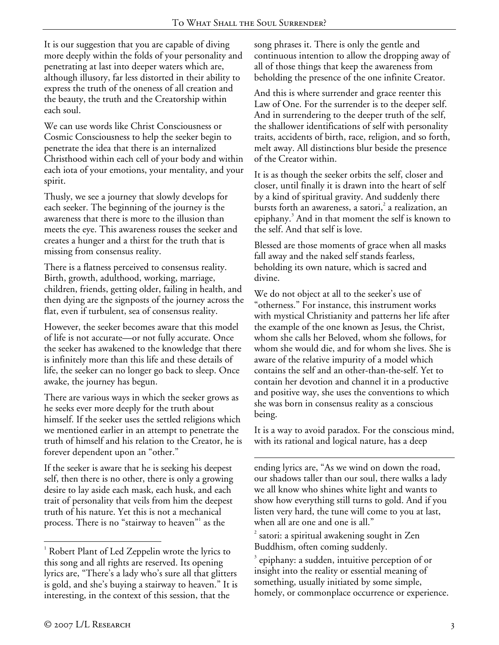It is our suggestion that you are capable of diving more deeply within the folds of your personality and penetrating at last into deeper waters which are, although illusory, far less distorted in their ability to express the truth of the oneness of all creation and the beauty, the truth and the Creatorship within each soul.

We can use words like Christ Consciousness or Cosmic Consciousness to help the seeker begin to penetrate the idea that there is an internalized Christhood within each cell of your body and within each iota of your emotions, your mentality, and your spirit.

Thusly, we see a journey that slowly develops for each seeker. The beginning of the journey is the awareness that there is more to the illusion than meets the eye. This awareness rouses the seeker and creates a hunger and a thirst for the truth that is missing from consensus reality.

There is a flatness perceived to consensus reality. Birth, growth, adulthood, working, marriage, children, friends, getting older, failing in health, and then dying are the signposts of the journey across the flat, even if turbulent, sea of consensus reality.

However, the seeker becomes aware that this model of life is not accurate—or not fully accurate. Once the seeker has awakened to the knowledge that there is infinitely more than this life and these details of life, the seeker can no longer go back to sleep. Once awake, the journey has begun.

There are various ways in which the seeker grows as he seeks ever more deeply for the truth about himself. If the seeker uses the settled religions which we mentioned earlier in an attempt to penetrate the truth of himself and his relation to the Creator, he is forever dependent upon an "other."

If the seeker is aware that he is seeking his deepest self, then there is no other, there is only a growing desire to lay aside each mask, each husk, and each trait of personality that veils from him the deepest truth of his nature. Yet this is not a mechanical process. There is no "stairway to heaven"<sup>1</sup> as the

song phrases it. There is only the gentle and continuous intention to allow the dropping away of all of those things that keep the awareness from beholding the presence of the one infinite Creator.

And this is where surrender and grace reenter this Law of One. For the surrender is to the deeper self. And in surrendering to the deeper truth of the self, the shallower identifications of self with personality traits, accidents of birth, race, religion, and so forth, melt away. All distinctions blur beside the presence of the Creator within.

It is as though the seeker orbits the self, closer and closer, until finally it is drawn into the heart of self by a kind of spiritual gravity. And suddenly there bursts forth an awareness, a satori,<sup>2</sup> a realization, an epiphany.<sup>3</sup> And in that moment the self is known to the self. And that self is love.

Blessed are those moments of grace when all masks fall away and the naked self stands fearless, beholding its own nature, which is sacred and divine.

We do not object at all to the seeker's use of "otherness." For instance, this instrument works with mystical Christianity and patterns her life after the example of the one known as Jesus, the Christ, whom she calls her Beloved, whom she follows, for whom she would die, and for whom she lives. She is aware of the relative impurity of a model which contains the self and an other-than-the-self. Yet to contain her devotion and channel it in a productive and positive way, she uses the conventions to which she was born in consensus reality as a conscious being.

It is a way to avoid paradox. For the conscious mind, with its rational and logical nature, has a deep

 $\overline{a}$ ending lyrics are, "As we wind on down the road, our shadows taller than our soul, there walks a lady we all know who shines white light and wants to show how everything still turns to gold. And if you listen very hard, the tune will come to you at last, when all are one and one is all."

 $\overline{a}$ <sup>1</sup> Robert Plant of Led Zeppelin wrote the lyrics to this song and all rights are reserved. Its opening lyrics are, "There's a lady who's sure all that glitters is gold, and she's buying a stairway to heaven." It is interesting, in the context of this session, that the

 $2$  satori: a spiritual awakening sought in Zen Buddhism, often coming suddenly.

<sup>3</sup> epiphany: a sudden, intuitive perception of or insight into the reality or essential meaning of something, usually initiated by some simple, homely, or commonplace occurrence or experience.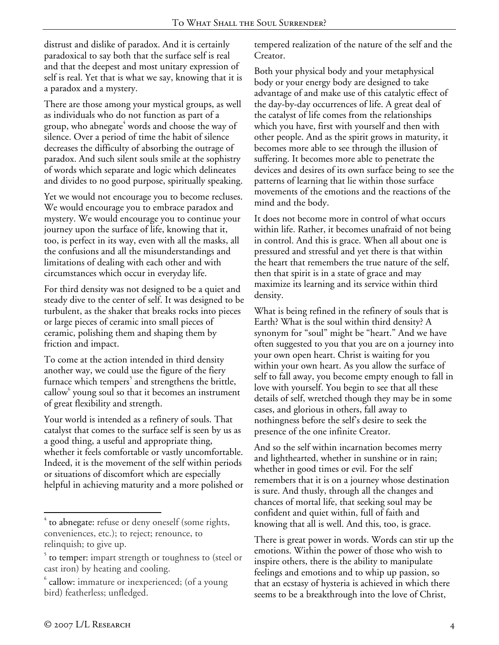distrust and dislike of paradox. And it is certainly paradoxical to say both that the surface self is real and that the deepest and most unitary expression of self is real. Yet that is what we say, knowing that it is a paradox and a mystery.

There are those among your mystical groups, as well as individuals who do not function as part of a group, who abnegate $^4$  words and choose the way of silence. Over a period of time the habit of silence decreases the difficulty of absorbing the outrage of paradox. And such silent souls smile at the sophistry of words which separate and logic which delineates and divides to no good purpose, spiritually speaking.

Yet we would not encourage you to become recluses. We would encourage you to embrace paradox and mystery. We would encourage you to continue your journey upon the surface of life, knowing that it, too, is perfect in its way, even with all the masks, all the confusions and all the misunderstandings and limitations of dealing with each other and with circumstances which occur in everyday life.

For third density was not designed to be a quiet and steady dive to the center of self. It was designed to be turbulent, as the shaker that breaks rocks into pieces or large pieces of ceramic into small pieces of ceramic, polishing them and shaping them by friction and impact.

To come at the action intended in third density another way, we could use the figure of the fiery furnace which tempers<sup>5</sup> and strengthens the brittle, callow<sup>6</sup> young soul so that it becomes an instrument of great flexibility and strength.

Your world is intended as a refinery of souls. That catalyst that comes to the surface self is seen by us as a good thing, a useful and appropriate thing, whether it feels comfortable or vastly uncomfortable. Indeed, it is the movement of the self within periods or situations of discomfort which are especially helpful in achieving maturity and a more polished or tempered realization of the nature of the self and the Creator.

Both your physical body and your metaphysical body or your energy body are designed to take advantage of and make use of this catalytic effect of the day-by-day occurrences of life. A great deal of the catalyst of life comes from the relationships which you have, first with yourself and then with other people. And as the spirit grows in maturity, it becomes more able to see through the illusion of suffering. It becomes more able to penetrate the devices and desires of its own surface being to see the patterns of learning that lie within those surface movements of the emotions and the reactions of the mind and the body.

It does not become more in control of what occurs within life. Rather, it becomes unafraid of not being in control. And this is grace. When all about one is pressured and stressful and yet there is that within the heart that remembers the true nature of the self, then that spirit is in a state of grace and may maximize its learning and its service within third density.

What is being refined in the refinery of souls that is Earth? What is the soul within third density? A synonym for "soul" might be "heart." And we have often suggested to you that you are on a journey into your own open heart. Christ is waiting for you within your own heart. As you allow the surface of self to fall away, you become empty enough to fall in love with yourself. You begin to see that all these details of self, wretched though they may be in some cases, and glorious in others, fall away to nothingness before the self's desire to seek the presence of the one infinite Creator.

And so the self within incarnation becomes merry and lighthearted, whether in sunshine or in rain; whether in good times or evil. For the self remembers that it is on a journey whose destination is sure. And thusly, through all the changes and chances of mortal life, that seeking soul may be confident and quiet within, full of faith and knowing that all is well. And this, too, is grace.

There is great power in words. Words can stir up the emotions. Within the power of those who wish to inspire others, there is the ability to manipulate feelings and emotions and to whip up passion, so that an ecstasy of hysteria is achieved in which there seems to be a breakthrough into the love of Christ,

 $\overline{a}$ 

<sup>4</sup> to abnegate: refuse or deny oneself (some rights, conveniences, etc.); to reject; renounce, to relinquish; to give up.

 $5$  to temper: impart strength or toughness to (steel or cast iron) by heating and cooling.

<sup>6</sup> callow: immature or inexperienced; (of a young bird) featherless; unfledged.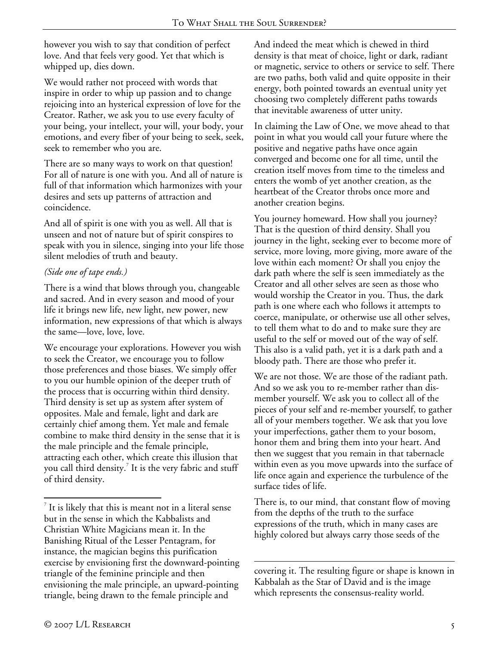however you wish to say that condition of perfect love. And that feels very good. Yet that which is whipped up, dies down.

We would rather not proceed with words that inspire in order to whip up passion and to change rejoicing into an hysterical expression of love for the Creator. Rather, we ask you to use every faculty of your being, your intellect, your will, your body, your emotions, and every fiber of your being to seek, seek, seek to remember who you are.

There are so many ways to work on that question! For all of nature is one with you. And all of nature is full of that information which harmonizes with your desires and sets up patterns of attraction and coincidence.

And all of spirit is one with you as well. All that is unseen and not of nature but of spirit conspires to speak with you in silence, singing into your life those silent melodies of truth and beauty.

### *(Side one of tape ends.)*

There is a wind that blows through you, changeable and sacred. And in every season and mood of your life it brings new life, new light, new power, new information, new expressions of that which is always the same—love, love, love.

We encourage your explorations. However you wish to seek the Creator, we encourage you to follow those preferences and those biases. We simply offer to you our humble opinion of the deeper truth of the process that is occurring within third density. Third density is set up as system after system of opposites. Male and female, light and dark are certainly chief among them. Yet male and female combine to make third density in the sense that it is the male principle and the female principle, attracting each other, which create this illusion that you call third density.<sup>7</sup> It is the very fabric and stuff of third density.

And indeed the meat which is chewed in third density is that meat of choice, light or dark, radiant or magnetic, service to others or service to self. There are two paths, both valid and quite opposite in their energy, both pointed towards an eventual unity yet choosing two completely different paths towards that inevitable awareness of utter unity.

In claiming the Law of One, we move ahead to that point in what you would call your future where the positive and negative paths have once again converged and become one for all time, until the creation itself moves from time to the timeless and enters the womb of yet another creation, as the heartbeat of the Creator throbs once more and another creation begins.

You journey homeward. How shall you journey? That is the question of third density. Shall you journey in the light, seeking ever to become more of service, more loving, more giving, more aware of the love within each moment? Or shall you enjoy the dark path where the self is seen immediately as the Creator and all other selves are seen as those who would worship the Creator in you. Thus, the dark path is one where each who follows it attempts to coerce, manipulate, or otherwise use all other selves, to tell them what to do and to make sure they are useful to the self or moved out of the way of self. This also is a valid path, yet it is a dark path and a bloody path. There are those who prefer it.

We are not those. We are those of the radiant path. And so we ask you to re-member rather than dismember yourself. We ask you to collect all of the pieces of your self and re-member yourself, to gather all of your members together. We ask that you love your imperfections, gather them to your bosom, honor them and bring them into your heart. And then we suggest that you remain in that tabernacle within even as you move upwards into the surface of life once again and experience the turbulence of the surface tides of life.

There is, to our mind, that constant flow of moving from the depths of the truth to the surface expressions of the truth, which in many cases are highly colored but always carry those seeds of the

 $\overline{a}$ covering it. The resulting figure or shape is known in Kabbalah as the Star of David and is the image which represents the consensus-reality world.

1

 $\sigma$  It is likely that this is meant not in a literal sense but in the sense in which the Kabbalists and Christian White Magicians mean it. In the Banishing Ritual of the Lesser Pentagram, for instance, the magician begins this purification exercise by envisioning first the downward-pointing triangle of the feminine principle and then envisioning the male principle, an upward-pointing triangle, being drawn to the female principle and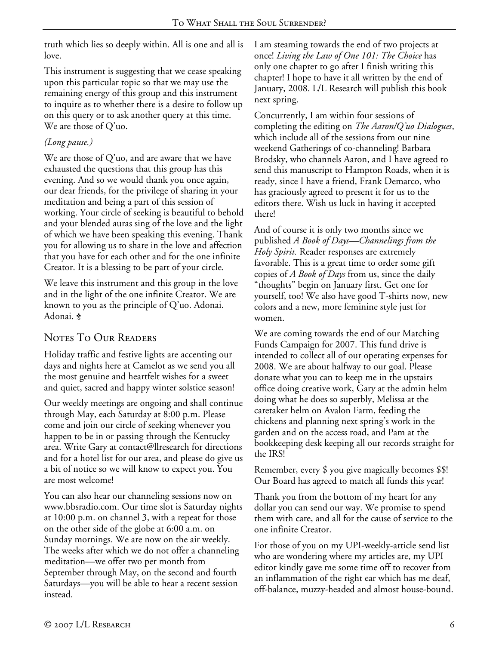truth which lies so deeply within. All is one and all is love.

This instrument is suggesting that we cease speaking upon this particular topic so that we may use the remaining energy of this group and this instrument to inquire as to whether there is a desire to follow up on this query or to ask another query at this time. We are those of Q'uo.

## *(Long pause.)*

We are those of Q'uo, and are aware that we have exhausted the questions that this group has this evening. And so we would thank you once again, our dear friends, for the privilege of sharing in your meditation and being a part of this session of working. Your circle of seeking is beautiful to behold and your blended auras sing of the love and the light of which we have been speaking this evening. Thank you for allowing us to share in the love and affection that you have for each other and for the one infinite Creator. It is a blessing to be part of your circle.

We leave this instrument and this group in the love and in the light of the one infinite Creator. We are known to you as the principle of Q'uo. Adonai. Adonai. \*

# NOTES TO OUR READERS

Holiday traffic and festive lights are accenting our days and nights here at Camelot as we send you all the most genuine and heartfelt wishes for a sweet and quiet, sacred and happy winter solstice season!

Our weekly meetings are ongoing and shall continue through May, each Saturday at 8:00 p.m. Please come and join our circle of seeking whenever you happen to be in or passing through the Kentucky area. Write Gary at contact@llresearch for directions and for a hotel list for our area, and please do give us a bit of notice so we will know to expect you. You are most welcome!

You can also hear our channeling sessions now on www.bbsradio.com. Our time slot is Saturday nights at 10:00 p.m. on channel 3, with a repeat for those on the other side of the globe at 6:00 a.m. on Sunday mornings. We are now on the air weekly. The weeks after which we do not offer a channeling meditation—we offer two per month from September through May, on the second and fourth Saturdays—you will be able to hear a recent session instead.

I am steaming towards the end of two projects at once! *Living the Law of One 101: The Choice* has only one chapter to go after I finish writing this chapter! I hope to have it all written by the end of January, 2008. L/L Research will publish this book next spring.

Concurrently, I am within four sessions of completing the editing on *The Aaron/Q'uo Dialogues*, which include all of the sessions from our nine weekend Gatherings of co-channeling! Barbara Brodsky, who channels Aaron, and I have agreed to send this manuscript to Hampton Roads, when it is ready, since I have a friend, Frank Demarco, who has graciously agreed to present it for us to the editors there. Wish us luck in having it accepted there!

And of course it is only two months since we published *A Book of Days—Channelings from the Holy Spirit.* Reader responses are extremely favorable. This is a great time to order some gift copies of *A Book of Days* from us, since the daily "thoughts" begin on January first. Get one for yourself, too! We also have good T-shirts now, new colors and a new, more feminine style just for women.

We are coming towards the end of our Matching Funds Campaign for 2007. This fund drive is intended to collect all of our operating expenses for 2008. We are about halfway to our goal. Please donate what you can to keep me in the upstairs office doing creative work, Gary at the admin helm doing what he does so superbly, Melissa at the caretaker helm on Avalon Farm, feeding the chickens and planning next spring's work in the garden and on the access road, and Pam at the bookkeeping desk keeping all our records straight for the IRS!

Remember, every \$ you give magically becomes \$\$! Our Board has agreed to match all funds this year!

Thank you from the bottom of my heart for any dollar you can send our way. We promise to spend them with care, and all for the cause of service to the one infinite Creator.

For those of you on my UPI-weekly-article send list who are wondering where my articles are, my UPI editor kindly gave me some time off to recover from an inflammation of the right ear which has me deaf, off-balance, muzzy-headed and almost house-bound.